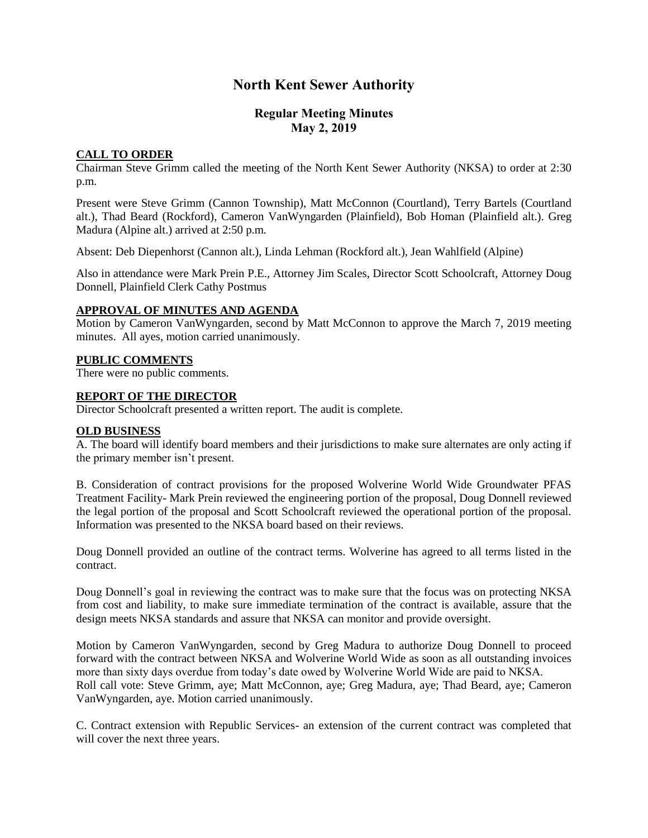# **North Kent Sewer Authority**

## **Regular Meeting Minutes May 2, 2019**

## **CALL TO ORDER**

Chairman Steve Grimm called the meeting of the North Kent Sewer Authority (NKSA) to order at 2:30 p.m.

Present were Steve Grimm (Cannon Township), Matt McConnon (Courtland), Terry Bartels (Courtland alt.), Thad Beard (Rockford), Cameron VanWyngarden (Plainfield), Bob Homan (Plainfield alt.). Greg Madura (Alpine alt.) arrived at 2:50 p.m.

Absent: Deb Diepenhorst (Cannon alt.), Linda Lehman (Rockford alt.), Jean Wahlfield (Alpine)

Also in attendance were Mark Prein P.E., Attorney Jim Scales, Director Scott Schoolcraft, Attorney Doug Donnell, Plainfield Clerk Cathy Postmus

### **APPROVAL OF MINUTES AND AGENDA**

Motion by Cameron VanWyngarden, second by Matt McConnon to approve the March 7, 2019 meeting minutes. All ayes, motion carried unanimously.

### **PUBLIC COMMENTS**

There were no public comments.

### **REPORT OF THE DIRECTOR**

Director Schoolcraft presented a written report. The audit is complete.

### **OLD BUSINESS**

A. The board will identify board members and their jurisdictions to make sure alternates are only acting if the primary member isn't present.

B. Consideration of contract provisions for the proposed Wolverine World Wide Groundwater PFAS Treatment Facility- Mark Prein reviewed the engineering portion of the proposal, Doug Donnell reviewed the legal portion of the proposal and Scott Schoolcraft reviewed the operational portion of the proposal. Information was presented to the NKSA board based on their reviews.

Doug Donnell provided an outline of the contract terms. Wolverine has agreed to all terms listed in the contract.

Doug Donnell's goal in reviewing the contract was to make sure that the focus was on protecting NKSA from cost and liability, to make sure immediate termination of the contract is available, assure that the design meets NKSA standards and assure that NKSA can monitor and provide oversight.

Motion by Cameron VanWyngarden, second by Greg Madura to authorize Doug Donnell to proceed forward with the contract between NKSA and Wolverine World Wide as soon as all outstanding invoices more than sixty days overdue from today's date owed by Wolverine World Wide are paid to NKSA. Roll call vote: Steve Grimm, aye; Matt McConnon, aye; Greg Madura, aye; Thad Beard, aye; Cameron VanWyngarden, aye. Motion carried unanimously.

C. Contract extension with Republic Services- an extension of the current contract was completed that will cover the next three years.